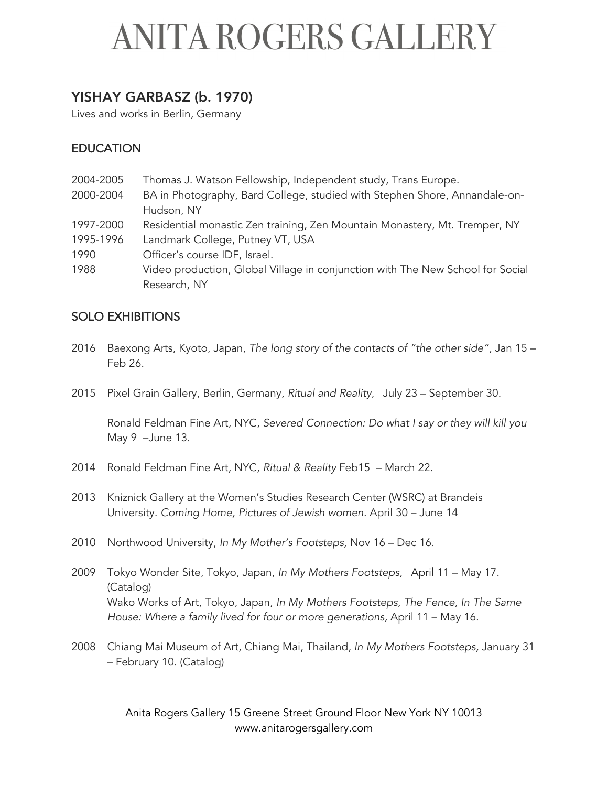#### YISHAY GARBASZ (b. 1970)

Lives and works in Berlin, Germany

#### EDUCATION

2004-2005 Thomas J. Watson Fellowship, Independent study, Trans Europe. 2000-2004 BA in Photography, Bard College, studied with Stephen Shore, Annandale-on-Hudson, NY 1997-2000 Residential monastic Zen training, Zen Mountain Monastery, Mt. Tremper, NY 1995-1996 Landmark College, Putney VT, USA 1990 Officer's course IDF, Israel. 1988 Video production, Global Village in conjunction with The New School for Social Research, NY

#### SOLO EXHIBITIONS

- 2016 Baexong Arts, Kyoto, Japan, *The long story of the contacts of "the other side",* Jan 15 Feb 26.
- 2015 Pixel Grain Gallery, Berlin, Germany*, Ritual and Reality*, July 23 September 30.

Ronald Feldman Fine Art, NYC, *Severed Connection: Do what I say or they will kill you*  May 9 –June 13.

- 2014 Ronald Feldman Fine Art, NYC, *Ritual & Reality* Feb15 March 22.
- 2013 Kniznick Gallery at the Women's Studies Research Center (WSRC) at Brandeis University. *Coming Home, Pictures of Jewish women.* April 30 – June 14
- 2010 Northwood University, *In My Mother's Footsteps,* Nov 16 Dec 16.
- 2009 Tokyo Wonder Site, Tokyo, Japan, *In My Mothers Footsteps,* April 11 May 17. (Catalog) Wako Works of Art, Tokyo, Japan, *In My Mothers Footsteps, The Fence, In The Same House: Where a family lived for four or more generations,* April 11 – May 16.
- 2008 Chiang Mai Museum of Art, Chiang Mai, Thailand, *In My Mothers Footsteps,* January 31 – February 10*.* (Catalog)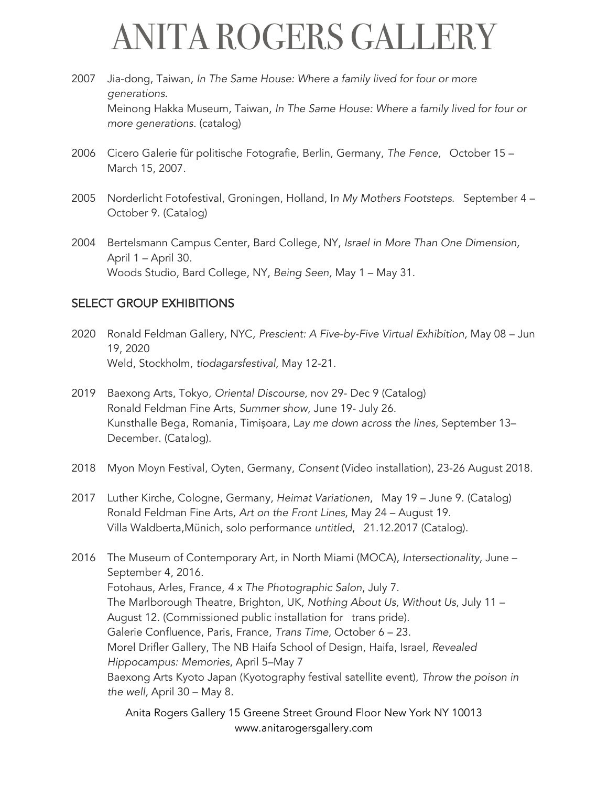- 2007 Jia-dong, Taiwan, *In The Same House: Where a family lived for four or more generations.* Meinong Hakka Museum, Taiwan, *In The Same House: Where a family lived for four or more generations.* (catalog)
- 2006 Cicero Galerie für politische Fotografie, Berlin, Germany, *The Fence,* October 15 March 15, 2007.
- 2005 Norderlicht Fotofestival, Groningen, Holland, I*n My Mothers Footsteps*. September 4 October 9. (Catalog)
- 2004 Bertelsmann Campus Center, Bard College, NY, *Israel in More Than One Dimension,*  April 1 – April 30*.* Woods Studio, Bard College, NY, *Being Seen,* May 1 – May 31.

#### SELECT GROUP EXHIBITIONS

- 2020 Ronald Feldman Gallery, NYC*, Prescient: A Five-by-Five Virtual Exhibition,* May 08 Jun 19, 2020 Weld, Stockholm, *tiodagarsfestival,* May 12-21.
- 2019 Baexong Arts, Tokyo, *Oriental Discourse,* nov 29- Dec 9 (Catalog) Ronald Feldman Fine Arts, *Summer show*, June 19- July 26. Kunsthalle Bega, Romania, Timișoara*,* L*ay me down across the lines,* September 13– December. (Catalog).
- 2018 Myon Moyn Festival, Oyten, Germany, *Consent* (Video installation), 23-26 August 2018.
- 2017 Luther Kirche, Cologne, Germany, *Heimat Variationen*, May 19 June 9. (Catalog) Ronald Feldman Fine Arts, *Art on the Front Lines*, May 24 – August 19. Villa Waldberta,Münich, solo performance *untitled*, 21.12.2017 (Catalog).
- 2016 The Museum of Contemporary Art, in North Miami (MOCA), *Intersectionality*, June September 4, 2016. Fotohaus, Arles, France, *4 x The Photographic Salon*, July 7. The Marlborough Theatre, Brighton, UK, *Nothing About Us, Without Us*, July 11 – August 12. (Commissioned public installation for trans pride). Galerie Confluence, Paris, France, *Trans Time*, October 6 – 23. Morel Drifler Gallery, The NB Haifa School of Design, Haifa, Israel, *Revealed Hippocampus: Memories*, April 5–May 7 Baexong Arts Kyoto Japan (Kyotography festival satellite event), *Throw the poison in the well,* April 30 – May 8.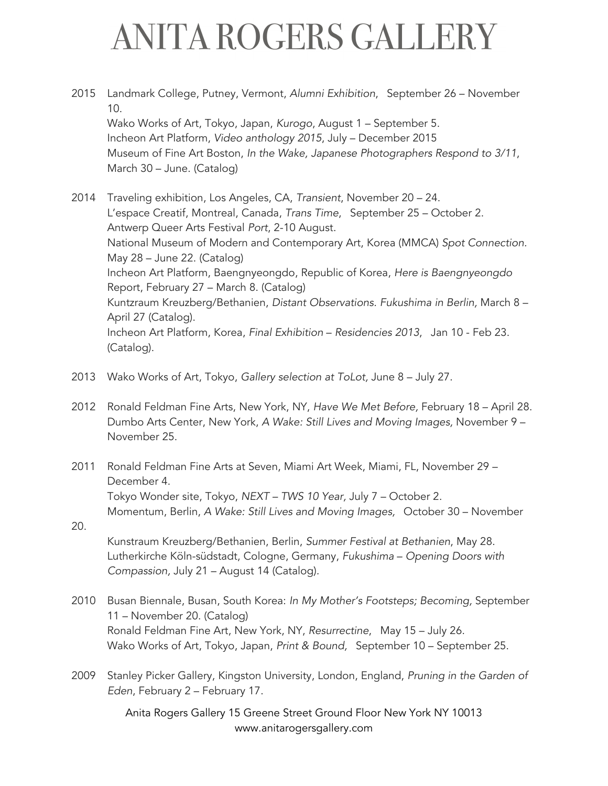- 2015 Landmark College, Putney, Vermont, *Alumni Exhibition*, September 26 November 10. Wako Works of Art, Tokyo, Japan, *Kurogo*, August 1 – September 5. Incheon Art Platform, *Video anthology 2015*, July – December 2015 Museum of Fine Art Boston, *In the Wake, Japanese Photographers Respond to 3/11*, March 30 – June. (Catalog)
- 2014 Traveling exhibition, Los Angeles, CA, *Transient*, November 20 24. L'espace Creatif, Montreal, Canada, *Trans Time*, September 25 – October 2. Antwerp Queer Arts Festival *Port*, 2-10 August. National Museum of Modern and Contemporary Art, Korea (MMCA) *Spot Connection.* May 28 – June 22. (Catalog) Incheon Art Platform, Baengnyeongdo, Republic of Korea, *Here is Baengnyeongdo*  Report, February 27 – March 8. (Catalog) Kuntzraum Kreuzberg/Bethanien, *Distant Observations. Fukushima in Berlin,* March 8 – April 27 (Catalog). Incheon Art Platform, Korea, *Final Exhibition* – *Residencies 2013*, Jan 10 - Feb 23. (Catalog).
- 2013 Wako Works of Art, Tokyo, *Gallery selection at ToLot,* June 8 July 27.

20.

- 2012 Ronald Feldman Fine Arts, New York, NY, *Have We Met Before,* February 18 April 28. Dumbo Arts Center, New York, *A Wake: Still Lives and Moving Images,* November 9 – November 25.
- 2011 Ronald Feldman Fine Arts at Seven, Miami Art Week, Miami, FL, November 29 December 4. Tokyo Wonder site, Tokyo, *NEXT – TWS 10 Year,* July 7 – October 2. Momentum, Berlin, *A Wake: Still Lives and Moving Images,* October 30 – November
	- Kunstraum Kreuzberg/Bethanien, Berlin, *Summer Festival at Bethanien*, May 28. Lutherkirche Köln-südstadt, Cologne, Germany, *Fukushima* – *Opening Doors with Compassion,* July 21 – August 14 (Catalog)*.*
- 2010 Busan Biennale, Busan, South Korea: *In My Mother's Footsteps; Becoming,* September 11 – November 20. (Catalog) Ronald Feldman Fine Art, New York, NY, *Resurrectine*, May 15 – July 26. Wako Works of Art, Tokyo, Japan, *Print & Bound,* September 10 – September 25.
- 2009 Stanley Picker Gallery, Kingston University, London, England, *Pruning in the Garden of Eden*, February 2 – February 17.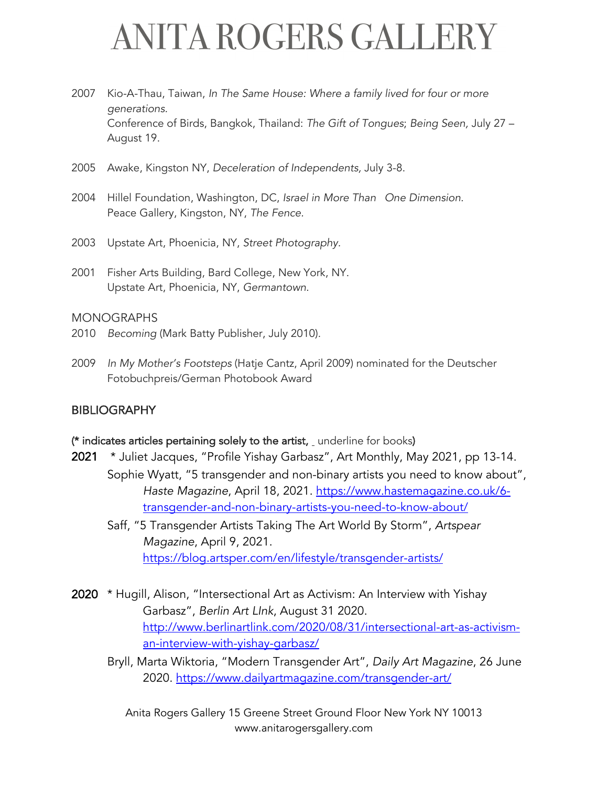- 2007 Kio-A-Thau, Taiwan, *In The Same House: Where a family lived for four or more generations.* Conference of Birds, Bangkok, Thailand: *The Gift of Tongues*; *Being Seen,* July 27 – August 19.
- 2005 Awake, Kingston NY, *Deceleration of Independents,* July 3-8.
- 2004 Hillel Foundation, Washington, DC, *Israel in More Than One Dimension*. Peace Gallery, Kingston, NY, *The Fence.*
- 2003 Upstate Art, Phoenicia, NY, *Street Photography.*
- 2001 Fisher Arts Building, Bard College, New York, NY. Upstate Art, Phoenicia, NY, *Germantown*.

#### MONOGRAPHS

- 2010 *Becoming* (Mark Batty Publisher, July 2010).
- 2009 *In My Mother's Footsteps* (Hatje Cantz, April 2009) nominated for the Deutscher Fotobuchpreis/German Photobook Award

#### **BIBLIOGRAPHY**

#### (\* indicates articles pertaining solely to the artist, underline for books)

- 2021 \* Juliet Jacques, "Profile Yishay Garbasz", Art Monthly, May 2021, pp 13-14. Sophie Wyatt, "5 transgender and non-binary artists you need to know about", *Haste Magazine*, April 18, 2021. https://www.hastemagazine.co.uk/6 transgender-and-non-binary-artists-you-need-to-know-about/
	- Saff, "5 Transgender Artists Taking The Art World By Storm", *Artspear Magazine*, April 9, 2021. https://blog.artsper.com/en/lifestyle/transgender-artists/
- 2020 \* Hugill, Alison, "Intersectional Art as Activism: An Interview with Yishay Garbasz", *Berlin Art LInk*, August 31 2020. http://www.berlinartlink.com/2020/08/31/intersectional-art-as-activisman-interview-with-yishay-garbasz/
	- Bryll, Marta Wiktoria, "Modern Transgender Art", *Daily Art Magazine*, 26 June 2020. https://www.dailyartmagazine.com/transgender-art/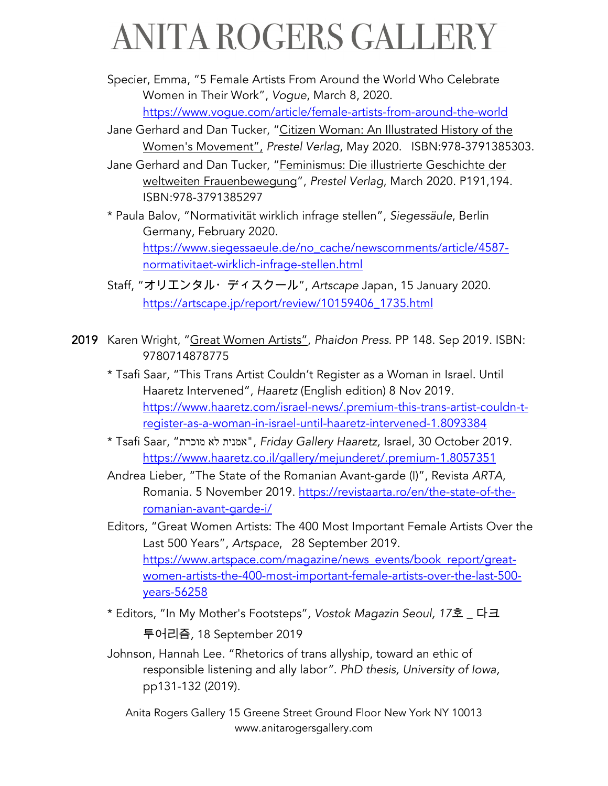Specier, Emma, "5 Female Artists From Around the World Who Celebrate Women in Their Work", *Vogue*, March 8, 2020. https://www.vogue.com/article/female-artists-from-around-the-world

- Jane Gerhard and Dan Tucker, "Citizen Woman: An Illustrated History of the Women's Movement", *Prestel Verlag*, May 2020. ISBN:978-3791385303.
- Jane Gerhard and Dan Tucker, "Feminismus: Die illustrierte Geschichte der weltweiten Frauenbewegung", *Prestel Verlag*, March 2020. P191,194. ISBN:978-3791385297
- \* Paula Balov, "Normativität wirklich infrage stellen", *Siegessäule*, Berlin Germany, February 2020. https://www.siegessaeule.de/no\_cache/newscomments/article/4587 normativitaet-wirklich-infrage-stellen.html
- Staff, "オリエンタル・ディスクール", Artscape Japan, 15 January 2020. https://artscape.jp/report/review/10159406\_1735.html
- 2019 Karen Wright, "Great Women Artists", *Phaidon Press*. PP 148. Sep 2019. ISBN: 9780714878775
	- \* Tsafi Saar, "This Trans Artist Couldn't Register as a Woman in Israel. Until Haaretz Intervened", *Haaretz* (English edition) 8 Nov 2019. https://www.haaretz.com/israel-news/.premium-this-trans-artist-couldn-tregister-as-a-woman-in-israel-until-haaretz-intervened-1.8093384
	- \* Tsafi Saar, " תרכומ אל תינמא" , *Friday Gallery Haaretz,* Israel, 30 October 2019. https://www.haaretz.co.il/gallery/mejunderet/.premium-1.8057351
	- Andrea Lieber, "The State of the Romanian Avant-garde (I)", Revista *ARTA*, Romania. 5 November 2019. https://revistaarta.ro/en/the-state-of-theromanian-avant-garde-i/
	- Editors, "Great Women Artists: The 400 Most Important Female Artists Over the Last 500 Years", *Artspace*, 28 September 2019. https://www.artspace.com/magazine/news\_events/book\_report/greatwomen-artists-the-400-most-important-female-artists-over-the-last-500 years-56258
	- \* Editors, "In My Mother's Footsteps", Vostok Magazin Seoul, 17호 \_ 다크 0123*,* 18 September 2019
	- Johnson, Hannah Lee. "Rhetorics of trans allyship, toward an ethic of responsible listening and ally labor*". PhD thesis, University of Iowa,* pp131-132 (2019).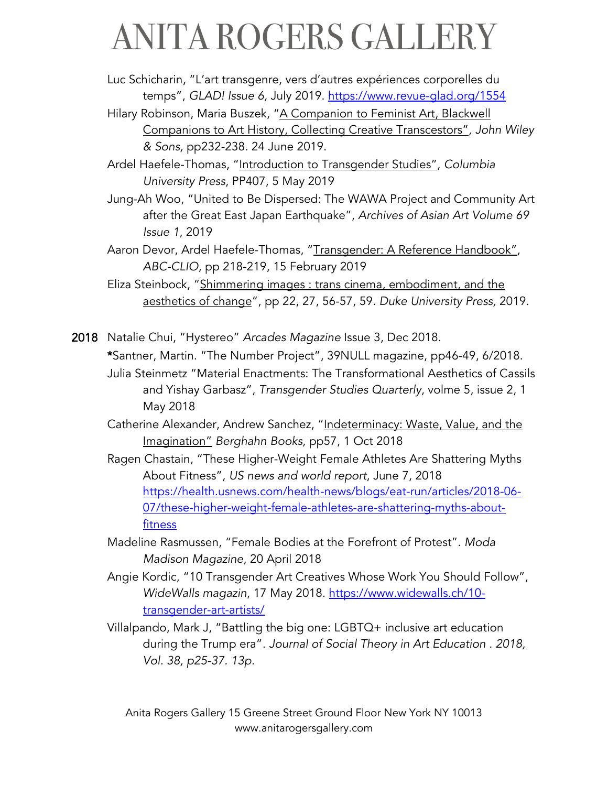- Luc Schicharin, "L'art transgenre, vers d'autres expériences corporelles du temps", *GLAD! Issue 6,* July 2019. https://www.revue-glad.org/1554
- Hilary Robinson, Maria Buszek, "A Companion to Feminist Art, Blackwell Companions to Art History, Collecting Creative Transcestors"*, John Wiley & Sons,* pp232-238*.* 24 June 2019.
- Ardel Haefele-Thomas, "Introduction to Transgender Studies", *Columbia University Press*, PP407, 5 May 2019
- Jung-Ah Woo, "United to Be Dispersed: The WAWA Project and Community Art after the Great East Japan Earthquake", *Archives of Asian Art Volume 69 Issue 1*, 2019

Aaron Devor, Ardel Haefele-Thomas, "Transgender: A Reference Handbook", *ABC-CLIO*, pp 218-219, 15 February 2019

Eliza Steinbock, "Shimmering images : trans cinema, embodiment, and the aesthetics of change", pp 22, 27, 56-57, 59*. Duke University Press,* 2019.

2018 Natalie Chui, "Hystereo" *Arcades Magazine* Issue 3, Dec 2018. \*Santner, Martin. "The Number Project", 39NULL magazine, pp46-49, 6/2018.

- Julia Steinmetz "Material Enactments: The Transformational Aesthetics of Cassils and Yishay Garbasz", *Transgender Studies Quarterly*, volme 5, issue 2, 1 May 2018
- Catherine Alexander, Andrew Sanchez, "Indeterminacy: Waste, Value, and the Imagination" *Berghahn Books,* pp57, 1 Oct 2018
- Ragen Chastain, "These Higher-Weight Female Athletes Are Shattering Myths About Fitness", *US news and world report*, June 7, 2018 https://health.usnews.com/health-news/blogs/eat-run/articles/2018-06- 07/these-higher-weight-female-athletes-are-shattering-myths-aboutfitness
- Madeline Rasmussen, "Female Bodies at the Forefront of Protest". *Moda Madison Magazine*, 20 April 2018
- Angie Kordic, "10 Transgender Art Creatives Whose Work You Should Follow", *WideWalls magazin*, 17 May 2018. https://www.widewalls.ch/10 transgender-art-artists/
- Villalpando, Mark J, "Battling the big one: LGBTQ+ inclusive art education during the Trump era". *Journal of Social Theory in Art Education . 2018, Vol. 38, p25-37. 13p.*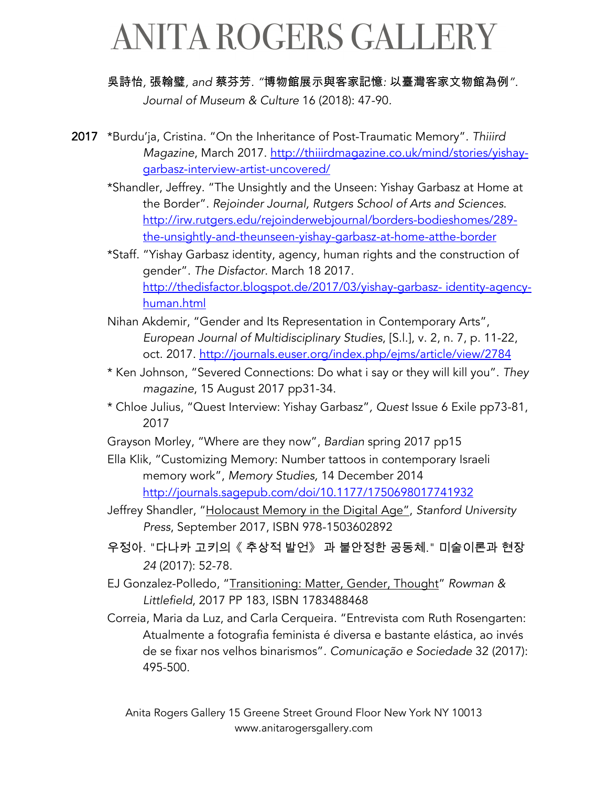#### 吳詩怡, 張翰璧, and 蔡芬芳. "博物館展示與客家記憶: 以臺灣客家文物館為例".

*Journal of Museum & Culture* 16 (2018): 47-90*.*

- 2017 \*Burdu'ja, Cristina. "On the Inheritance of Post-Traumatic Memory"*. Thiiird Magazine*, March 2017. http://thiiirdmagazine.co.uk/mind/stories/yishaygarbasz-interview-artist-uncovered/
	- \*Shandler, Jeffrey. "The Unsightly and the Unseen: Yishay Garbasz at Home at the Border". *Rejoinder Journal, Rutgers School of Arts and Sciences*. http://irw.rutgers.edu/rejoinderwebjournal/borders-bodieshomes/289 the-unsightly-and-theunseen-yishay-garbasz-at-home-atthe-border
	- \*Staff. "Yishay Garbasz identity, agency, human rights and the construction of gender". *The Disfactor*. March 18 2017. http://thedisfactor.blogspot.de/2017/03/yishay-garbasz- identity-agencyhuman.html
	- Nihan Akdemir, "Gender and Its Representation in Contemporary Arts", *European Journal of Multidisciplinary Studies*, [S.l.], v. 2, n. 7, p. 11-22, oct. 2017. http://journals.euser.org/index.php/ejms/article/view/2784
	- \* Ken Johnson, "Severed Connections: Do what i say or they will kill you". *They magazine*, 15 August 2017 pp31-34.
	- \* Chloe Julius, "Quest Interview: Yishay Garbasz"*, Quest* Issue 6 Exile pp73-81, 2017
	- Grayson Morley, "Where are they now", *Bardian* spring 2017 pp15
	- Ella Klik, "Customizing Memory: Number tattoos in contemporary Israeli memory work", *Memory Studies,* 14 December 2014 http://journals.sagepub.com/doi/10.1177/1750698017741932
	- Jeffrey Shandler, "Holocaust Memory in the Digital Age", *Stanford University Press*, September 2017, ISBN 978-1503602892
	- 우정아. "다나카 고키의《 추상적 발언》 과 불안정한 공동체." 미술이론과 현장 *24* (2017): 52-78.
	- EJ Gonzalez-Polledo, "Transitioning: Matter, Gender, Thought" *Rowman & Littlefield*, 2017 PP 183, ISBN 1783488468
	- Correia, Maria da Luz, and Carla Cerqueira. "Entrevista com Ruth Rosengarten: Atualmente a fotografia feminista é diversa e bastante elástica, ao invés de se fixar nos velhos binarismos"*. Comunicação e Sociedade* 32 (2017): 495-500.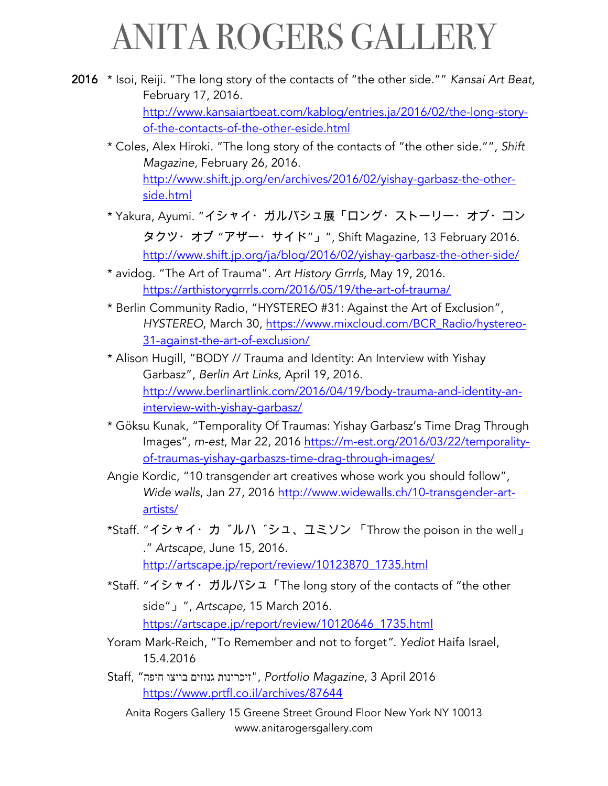2016 \* Isoi, Reiji. "The long story of the contacts of "the other side."" *Kansai Art Beat*, February 17, 2016. http://www.kansaiartbeat.com/kablog/entries.ja/2016/02/the-long-storyof-the-contacts-of-the-other-eside.html \* Coles, Alex Hiroki. "The long story of the contacts of "the other side."", *Shift Magazine*, February 26, 2016.

> http://www.shift.jp.org/en/archives/2016/02/yishay-garbasz-the-otherside.html

- \* Yakura, Ayumi. "イシャイ・ガルバシュ展「ロング・ストーリー・オブ・コン タクツ・オブ "アザー・サイド"」", Shift Magazine, 13 February 2016. http://www.shift.jp.org/ja/blog/2016/02/yishay-garbasz-the-other-side/
- \* avidog. "The Art of Trauma". *Art History Grrrls*, May 19, 2016. https://arthistorygrrrls.com/2016/05/19/the-art-of-trauma/
- \* Berlin Community Radio, "HYSTEREO #31: Against the Art of Exclusion", *HYSTEREO*, March 30, https://www.mixcloud.com/BCR\_Radio/hystereo-31-against-the-art-of-exclusion/
- \* Alison Hugill, "BODY // Trauma and Identity: An Interview with Yishay Garbasz", *Berlin Art Links,* April 19, 2016. http://www.berlinartlink.com/2016/04/19/body-trauma-and-identity-aninterview-with-yishay-garbasz/
- \* Göksu Kunak, "Temporality Of Traumas: Yishay Garbasz's Time Drag Through Images", *m-est*, Mar 22, 2016 https://m-est.org/2016/03/22/temporalityof-traumas-yishay-garbaszs-time-drag-through-images/
- Angie Kordic, "10 transgender art creatives whose work you should follow", *Wide walls*, Jan 27, 2016 http://www.widewalls.ch/10-transgender-artartists/
- \*Staff. " $\vec{y}$   $\vec{y}$   $\vec{y}$   $\vec{y}$   $\vec{y}$   $\vec{y}$   $\vec{y}$   $\vec{y}$   $\vec{y}$   $\vec{y}$   $\vec{y}$   $\vec{y}$   $\vec{y}$   $\vec{y}$   $\vec{y}$   $\vec{y}$   $\vec{y}$   $\vec{y}$   $\vec{y}$   $\vec{y}$   $\vec{y}$   $\vec{y}$   $\vec{y}$   $\vec{y}$   $\vec{y}$   $\vec{y}$   $\vec{$ ." *Artscape*, June 15, 2016. http://artscape.jp/report/review/10123870\_1735.html
- \*Staff. "ijki'l&mjnoThe long story of the contacts of "the other side"  $\lrcorner$  ", Artscape, 15 March 2016. https://artscape.jp/report/review/10120646\_1735.html
- Yoram Mark-Reich, "To Remember and not to forget*". Yediot* Haifa Israel, 15.4.2016
- 2016 April 3 *,Magazine Portfolio* , "תונורכיז םיזונג וציוב הפיח " ,Staff https://www.prtfl.co.il/archives/87644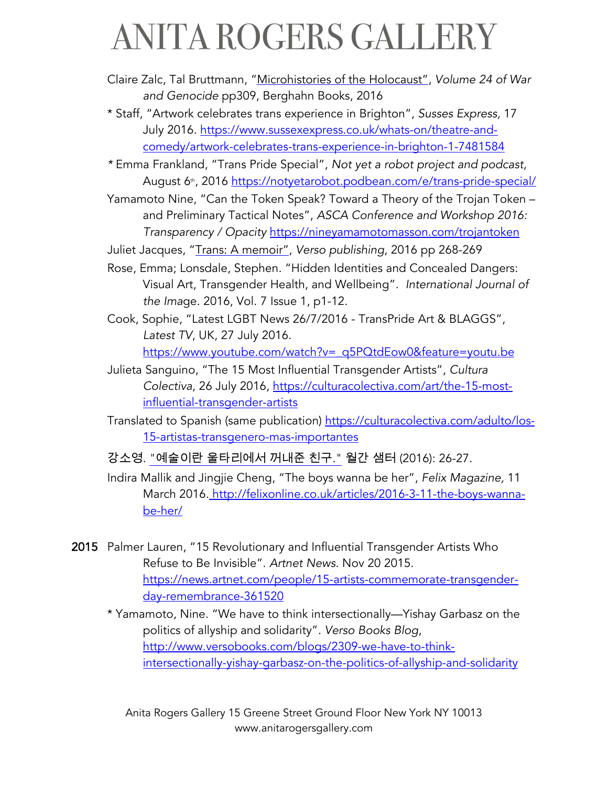- Claire Zalc, Tal Bruttmann, "Microhistories of the Holocaust", *Volume 24 of War and Genocide* pp309, Berghahn Books, 2016
- \* Staff, "Artwork celebrates trans experience in Brighton", *Susses Express,* 17 July 2016. https://www.sussexexpress.co.uk/whats-on/theatre-andcomedy/artwork-celebrates-trans-experience-in-brighton-1-7481584
- *\** Emma Frankland, "Trans Pride Special", *Not yet a robot project and podcast*, August 6<sup>th</sup>, 2016 https://notyetarobot.podbean.com/e/trans-pride-special/
- Yamamoto Nine, "Can the Token Speak? Toward a Theory of the Trojan Token and Preliminary Tactical Notes", *ASCA Conference and Workshop 2016: Transparency / Opacity* https://nineyamamotomasson.com/trojantoken
- Juliet Jacques, "Trans: A memoir", *Verso publishing*, 2016 pp 268-269
- Rose, Emma; Lonsdale, Stephen*.* "Hidden Identities and Concealed Dangers: Visual Art, Transgender Health, and Wellbeing". *International Journal of the Ima*ge. 2016, Vol. 7 Issue 1, p1-12.
- Cook, Sophie, "Latest LGBT News 26/7/2016 TransPride Art & BLAGGS", *Latest TV*, UK, 27 July 2016. https://www.youtube.com/watch?v=\_q5PQtdEow0&feature=youtu.be
- Julieta Sanguino, "The 15 Most Influential Transgender Artists", *Cultura Colectiva*, 26 July 2016, https://culturacolectiva.com/art/the-15-mostinfluential-transgender-artists
- Translated to Spanish (same publication) https://culturacolectiva.com/adulto/los-15-artistas-transgenero-mas-importantes
- 강소영. "예술이란 울타리에서 꺼내준 친구." 월간 샘터 (2016): 26-27.
- Indira Mallik and Jingjie Cheng, "The boys wanna be her", *Felix Magazine,* 11 March 2016. http://felixonline.co.uk/articles/2016-3-11-the-boys-wannabe-her/
- 2015 Palmer Lauren, "15 Revolutionary and Influential Transgender Artists Who Refuse to Be Invisible". *Artnet News*. Nov 20 2015. https://news.artnet.com/people/15-artists-commemorate-transgenderday-remembrance-361520
	- \* Yamamoto, Nine. "We have to think intersectionally—Yishay Garbasz on the politics of allyship and solidarity". *Verso Books Blog*, http://www.versobooks.com/blogs/2309-we-have-to-thinkintersectionally-yishay-garbasz-on-the-politics-of-allyship-and-solidarity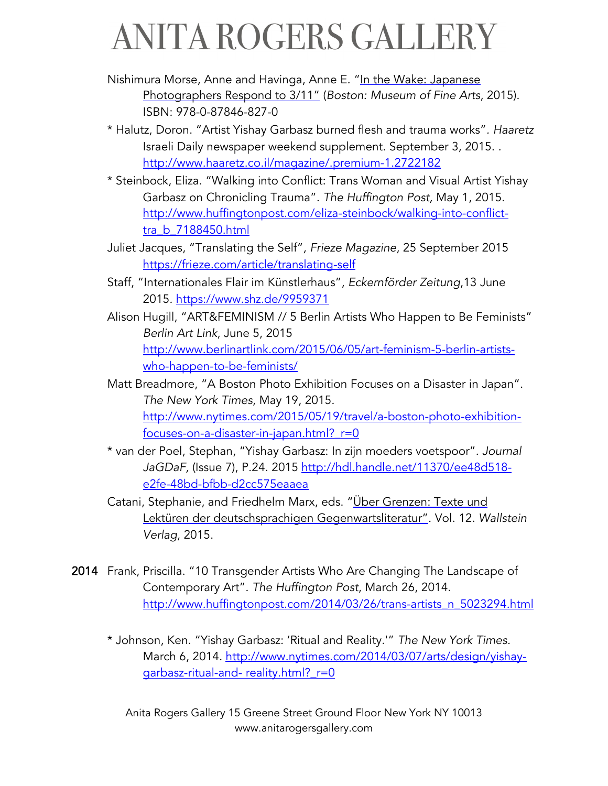Nishimura Morse, Anne and Havinga, Anne E. "In the Wake: Japanese Photographers Respond to 3/11" (*Boston: Museum of Fine Arts*, 2015). ISBN: 978-0-87846-827-0

- \* Halutz, Doron. "Artist Yishay Garbasz burned flesh and trauma works"*. Haaretz* Israeli Daily newspaper weekend supplement. September 3, 2015. . http://www.haaretz.co.il/magazine/.premium-1.2722182
- \* Steinbock, Eliza. "Walking into Conflict: Trans Woman and Visual Artist Yishay Garbasz on Chronicling Trauma". *The Huffington Post,* May 1, 2015. http://www.huffingtonpost.com/eliza-steinbock/walking-into-conflicttra\_b\_7188450.html
- Juliet Jacques, "Translating the Self"*, Frieze Magazine*, 25 September 2015 https://frieze.com/article/translating-self
- Staff, "Internationales Flair im Künstlerhaus", *Eckernförder Zeitung*,13 June 2015. https://www.shz.de/9959371
- Alison Hugill, "ART&FEMINISM // 5 Berlin Artists Who Happen to Be Feminists" *Berlin Art Link*, June 5, 2015 http://www.berlinartlink.com/2015/06/05/art-feminism-5-berlin-artistswho-happen-to-be-feminists/
- Matt Breadmore, "A Boston Photo Exhibition Focuses on a Disaster in Japan". *The New York Times*, May 19, 2015. http://www.nytimes.com/2015/05/19/travel/a-boston-photo-exhibitionfocuses-on-a-disaster-in-japan.html?\_r=0
- \* van der Poel, Stephan, "Yishay Garbasz: In zijn moeders voetspoor". *Journal JaGDaF,* (Issue 7), P.24. 2015 http://hdl.handle.net/11370/ee48d518 e2fe-48bd-bfbb-d2cc575eaaea
- Catani, Stephanie, and Friedhelm Marx, eds. "Uber Grenzen: Texte und Lektüren der deutschsprachigen Gegenwartsliteratur". Vol. 12. *Wallstein Verlag*, 2015.
- 2014 Frank, Priscilla. "10 Transgender Artists Who Are Changing The Landscape of Contemporary Art". *The Huffington Post*, March 26, 2014. http://www.huffingtonpost.com/2014/03/26/trans-artists\_n\_5023294.html
	- \* Johnson, Ken. "Yishay Garbasz: 'Ritual and Reality.'" *The New York Times.*  March 6, 2014. http://www.nytimes.com/2014/03/07/arts/design/yishaygarbasz-ritual-and- reality.html? r=0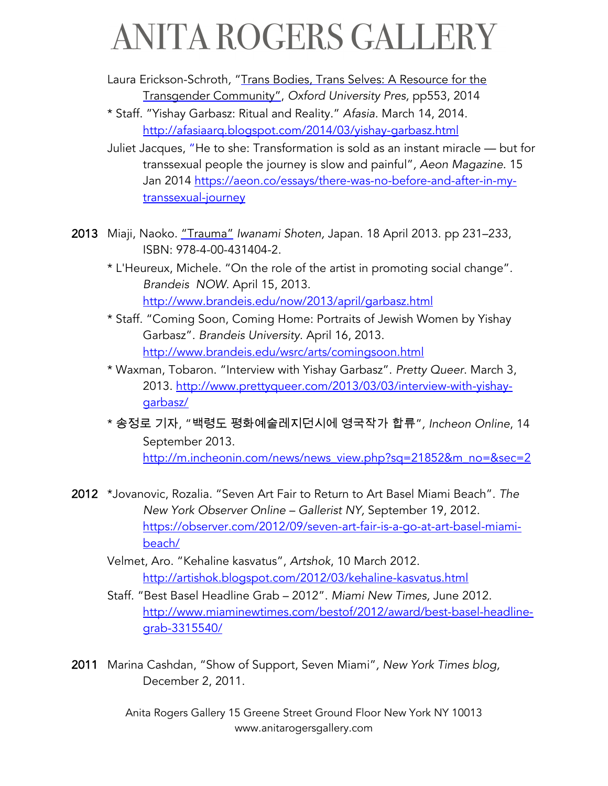Laura Erickson-Schroth*,* "Trans Bodies, Trans Selves: A Resource for the Transgender Community", *Oxford University Pres,* pp553, 2014

- \* Staff. "Yishay Garbasz: Ritual and Reality." *Afasia*. March 14, 2014. http://afasiaarq.blogspot.com/2014/03/yishay-garbasz.html
- Juliet Jacques, "He to she: Transformation is sold as an instant miracle but for transsexual people the journey is slow and painful"*, Aeon Magazine*. 15 Jan 2014 https://aeon.co/essays/there-was-no-before-and-after-in-mytranssexual-journey
- 2013 Miaji, Naoko. "Trauma" *Iwanami Shoten,* Japan. 18 April 2013. pp 231–233, ISBN: 978-4-00-431404-2.
	- \* L'Heureux, Michele. "On the role of the artist in promoting social change"*. Brandeis NOW*. April 15, 2013. http://www.brandeis.edu/now/2013/april/garbasz.html
	- \* Staff. "Coming Soon, Coming Home: Portraits of Jewish Women by Yishay Garbasz". *Brandeis University*. April 16, 2013. http://www.brandeis.edu/wsrc/arts/comingsoon.html
	- \* Waxman, Tobaron. "Interview with Yishay Garbasz". *Pretty Queer*. March 3, 2013. http://www.prettyqueer.com/2013/03/03/interview-with-yishaygarbasz/
	- \* 송정로 기자, "백령도 평화예술레지던시에 영국작가 합류", Incheon Online, 14 September 2013. http://m.incheonin.com/news/news\_view.php?sq=21852&m\_no=&sec=2
- 2012 \*Jovanovic, Rozalia. "Seven Art Fair to Return to Art Basel Miami Beach". *The New York Observer Online – Gallerist NY,* September 19, 2012. https://observer.com/2012/09/seven-art-fair-is-a-go-at-art-basel-miamibeach/
	- Velmet, Aro. "Kehaline kasvatus", *Artshok*, 10 March 2012. http://artishok.blogspot.com/2012/03/kehaline-kasvatus.html
	- Staff. "Best Basel Headline Grab 2012". *Miami New Times,* June 2012. http://www.miaminewtimes.com/bestof/2012/award/best-basel-headlinegrab-3315540/
- 2011 Marina Cashdan, "Show of Support, Seven Miami"*, New York Times blog,* December 2, 2011.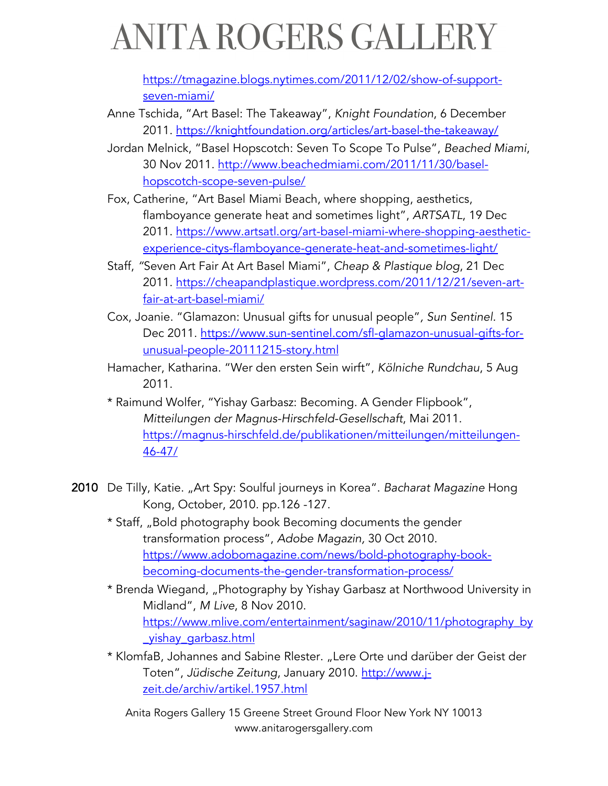https://tmagazine.blogs.nytimes.com/2011/12/02/show-of-supportseven-miami/

- Anne Tschida, "Art Basel: The Takeaway", *Knight Foundation*, 6 December 2011. https://knightfoundation.org/articles/art-basel-the-takeaway/
- Jordan Melnick, "Basel Hopscotch: Seven To Scope To Pulse", *Beached Miami*, 30 Nov 2011. http://www.beachedmiami.com/2011/11/30/baselhopscotch-scope-seven-pulse/
- Fox, Catherine, "Art Basel Miami Beach, where shopping, aesthetics, flamboyance generate heat and sometimes light", *ARTSATL*, 19 Dec 2011. https://www.artsatl.org/art-basel-miami-where-shopping-aestheticexperience-citys-flamboyance-generate-heat-and-sometimes-light/
- Staff, *"*Seven Art Fair At Art Basel Miami", *Cheap & Plastique blog*, 21 Dec 2011. https://cheapandplastique.wordpress.com/2011/12/21/seven-artfair-at-art-basel-miami/
- Cox, Joanie. "Glamazon: Unusual gifts for unusual people"*, Sun Sentinel.* 15 Dec 2011. https://www.sun-sentinel.com/sfl-glamazon-unusual-gifts-forunusual-people-20111215-story.html
- Hamacher, Katharina. "Wer den ersten Sein wirft", *Kölniche Rundchau*, 5 Aug 2011.
- \* Raimund Wolfer, "Yishay Garbasz: Becoming. A Gender Flipbook", *Mitteilungen der Magnus-Hirschfeld-Gesellschaft*, Mai 2011. https://magnus-hirschfeld.de/publikationen/mitteilungen/mitteilungen-46-47/
- 2010 De Tilly, Katie. "Art Spy: Soulful journeys in Korea". *Bacharat Magazine* Hong Kong, October, 2010. pp.126 -127.
	- \* Staff, "Bold photography book Becoming documents the gender transformation process", *Adobe Magazin,* 30 Oct 2010. https://www.adobomagazine.com/news/bold-photography-bookbecoming-documents-the-gender-transformation-process/
	- \* Brenda Wiegand, "Photography by Yishay Garbasz at Northwood University in Midland", *M Live*, 8 Nov 2010. https://www.mlive.com/entertainment/saginaw/2010/11/photography\_by \_yishay\_garbasz.html
	- \* KlomfaB, Johannes and Sabine Rlester. "Lere Orte und darüber der Geist der Toten", *Jüdische Zeitung*, January 2010. http://www.jzeit.de/archiv/artikel.1957.html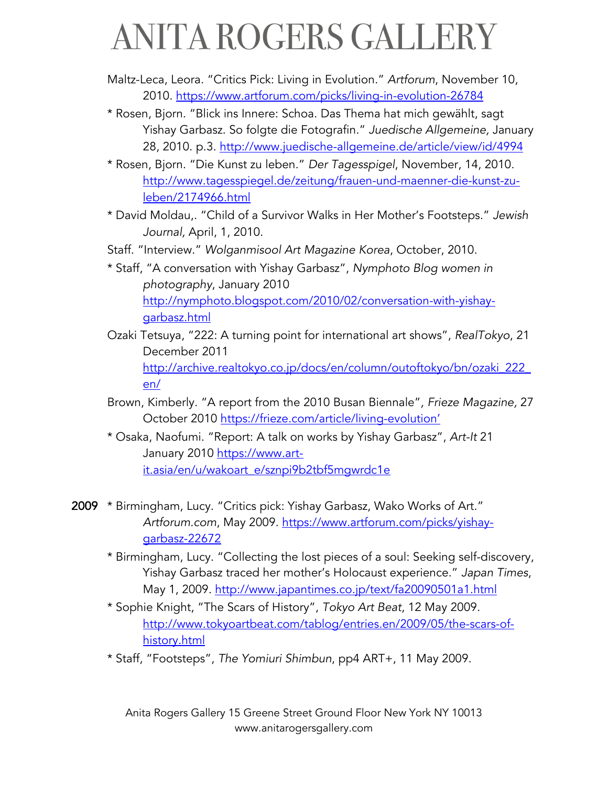- Maltz-Leca, Leora. "Critics Pick: Living in Evolution." *Artforum*, November 10, 2010. https://www.artforum.com/picks/living-in-evolution-26784
- \* Rosen, Bjorn. "Blick ins Innere: Schoa. Das Thema hat mich gewählt, sagt Yishay Garbasz. So folgte die Fotografin." *Juedische Allgemeine,* January 28, 2010. p.3. http://www.juedische-allgemeine.de/article/view/id/4994
- \* Rosen, Bjorn. "Die Kunst zu leben." *Der Tagesspigel*, November, 14, 2010. http://www.tagesspiegel.de/zeitung/frauen-und-maenner-die-kunst-zuleben/2174966.html
- \* David Moldau,. "Child of a Survivor Walks in Her Mother's Footsteps." *Jewish Journal,* April, 1, 2010.
- Staff. "Interview." *Wolganmisool Art Magazine Korea*, October, 2010.
- \* Staff, "A conversation with Yishay Garbasz", *Nymphoto Blog women in photography*, January 2010 http://nymphoto.blogspot.com/2010/02/conversation-with-yishaygarbasz.html
- Ozaki Tetsuya, "222: A turning point for international art shows", *RealTokyo*, 21 December 2011 http://archive.realtokyo.co.jp/docs/en/column/outoftokyo/bn/ozaki\_222\_ en/
- Brown, Kimberly. "A report from the 2010 Busan Biennale"*, Frieze Magazine,* 27 October 2010 https://frieze.com/article/living-evolution'
- \* Osaka, Naofumi. "Report: A talk on works by Yishay Garbasz", *Art-It* 21 January 2010 https://www.artit.asia/en/u/wakoart\_e/sznpi9b2tbf5mgwrdc1e
- 2009 \* Birmingham, Lucy. "Critics pick: Yishay Garbasz, Wako Works of Art." *Artforum.com*, May 2009. https://www.artforum.com/picks/yishaygarbasz-22672
	- \* Birmingham, Lucy. "Collecting the lost pieces of a soul: Seeking self-discovery, Yishay Garbasz traced her mother's Holocaust experience." *Japan Times*, May 1, 2009. http://www.japantimes.co.jp/text/fa20090501a1.html
	- \* Sophie Knight, "The Scars of History", *Tokyo Art Beat*, 12 May 2009. http://www.tokyoartbeat.com/tablog/entries.en/2009/05/the-scars-ofhistory.html
	- \* Staff, "Footsteps", *The Yomiuri Shimbun*, pp4 ART+, 11 May 2009.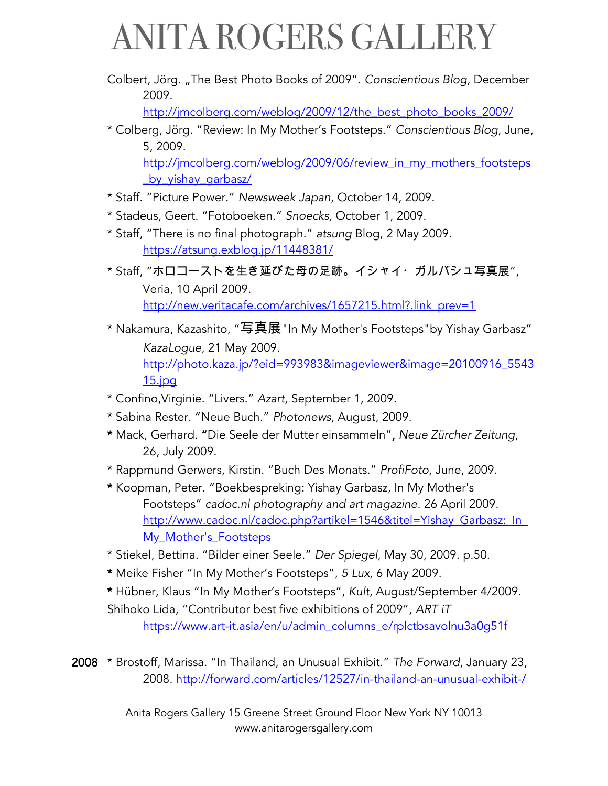Colbert, Jörg. "The Best Photo Books of 2009". *Conscientious Blog*, December 2009.

http://jmcolberg.com/weblog/2009/12/the\_best\_photo\_books\_2009/

\* Colberg, Jörg. "Review: In My Mother's Footsteps." *Conscientious Blog*, June, 5, 2009.

http://jmcolberg.com/weblog/2009/06/review\_in\_my\_mothers\_footsteps \_by\_yishay\_garbasz/

- \* Staff. "Picture Power." *Newsweek Japan*, October 14, 2009.
- \* Stadeus, Geert. "Fotoboeken." *Snoecks,* October 1, 2009.
- \* Staff, "There is no final photograph." *atsung* Blog, 2 May 2009. https://atsung.exblog.jp/11448381/
- \* Staff, "ホロコーストを生き延びた母の足跡。イシャイ・ガルバシュ写真展", Veria, 10 April 2009. http://new.veritacafe.com/archives/1657215.html?.link\_prev=1
- \* Nakamura, Kazashito, "写真展"In My Mother's Footsteps"by Yishay Garbasz" *KazaLogue*, 21 May 2009. http://photo.kaza.jp/?eid=993983&imageviewer&image=20100916\_5543 15.jpg
- \* Confino,Virginie. "Livers." *Azart,* September 1, 2009.
- \* Sabina Rester. "Neue Buch." *Photonews*, August, 2009.
- \* Mack, Gerhard. "Die Seele der Mutter einsammeln", *Neue Zürcher Zeitung*, 26, July 2009.
- \* Rappmund Gerwers, Kirstin. "Buch Des Monats." *ProfiFoto,* June, 2009.
- \* Koopman, Peter. "Boekbespreking: Yishay Garbasz, In My Mother's Footsteps" *cadoc.nl photography and art magazine.* 26 April 2009. http://www.cadoc.nl/cadoc.php?artikel=1546&titel=Yishay\_Garbasz:\_In My\_Mother's\_Footsteps
- \* Stiekel, Bettina. "Bilder einer Seele." *Der Spiegel*, May 30, 2009. p.50.
- \* Meike Fisher "In My Mother's Footsteps", *5 Lux,* 6 May 2009.
- \* Hübner, Klaus "In My Mother's Footsteps", *Kult*, August/September 4/2009. Shihoko Lida, "Contributor best five exhibitions of 2009"*, ART iT* https://www.art-it.asia/en/u/admin\_columns\_e/rplctbsavolnu3a0g51f

2008 \* Brostoff, Marissa. "In Thailand, an Unusual Exhibit." *The Forward*, January 23, 2008. http://forward.com/articles/12527/in-thailand-an-unusual-exhibit-/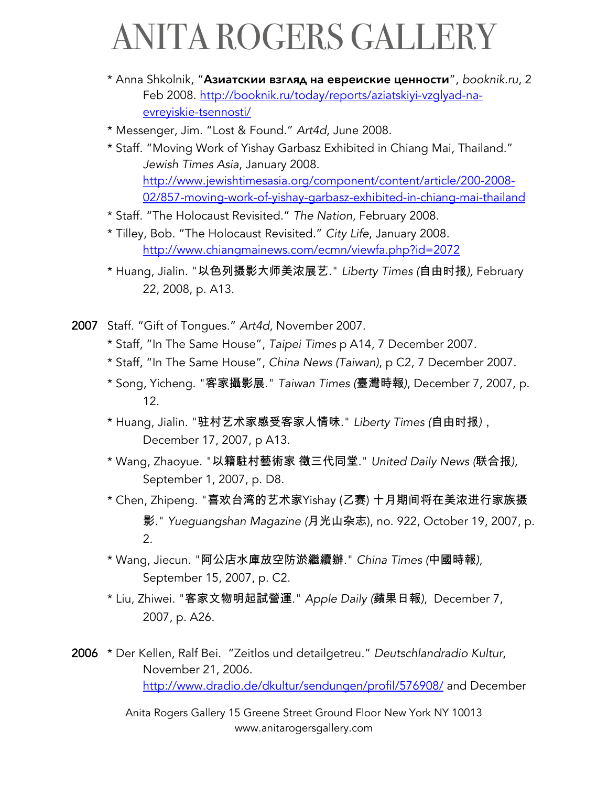- \* Anna Shkolnik, "Азиатскии взгляд на евреиские ценности", *booknik.ru*, 2 Feb 2008. http://booknik.ru/today/reports/aziatskiyi-vzglyad-naevreyiskie-tsennosti/
- \* Messenger, Jim. "Lost & Found." *Art4d*, June 2008.
- \* Staff. "Moving Work of Yishay Garbasz Exhibited in Chiang Mai, Thailand." *Jewish Times Asia*, January 2008. http://www.jewishtimesasia.org/component/content/article/200-2008- 02/857-moving-work-of-yishay-garbasz-exhibited-in-chiang-mai-thailand
- \* Staff. "The Holocaust Revisited." *The Nation*, February 2008.
- \* Tilley, Bob. "The Holocaust Revisited." *City Life*, January 2008. http://www.chiangmainews.com/ecmn/viewfa.php?id=2072
- \* Huang, Jialin. "以色列摄影大师美浓展艺." *Liberty Times (*自由时报), February 22, 2008, p. A13.
- 2007 Staff. "Gift of Tongues." *Art4d*, November 2007.
	- \* Staff, "In The Same House", *Taipei Times* p A14, 7 December 2007.
	- \* Staff, "In The Same House", *China News (Taiwan)*, p C2, 7 December 2007.
	- \* Song, Yicheng. "客家攝影展." Taiwan Times (臺灣時報), December 7, 2007, p. 12.
	- \* Huang, Jialin. "驻村艺术家感受客家人情味." *Liberty Times (*自由时报*)*, December 17, 2007, p A13.
	- \* Wang, Zhaoyue. "以籍駐村藝術家 徵三代同堂." United Daily News (联合报), September 1, 2007, p. D8.
	- \* Chen, Zhipeng. "喜欢台湾的艺术家Yishay (乙赛) 十月期间将在美浓进行家族摄 影." *Yueguangshan Magazine (*月光山杂志), no. 922, October 19, 2007, p. 2.
	- \* Wang, Jiecun. "阿公店水庫放空防淤繼續辦." *China Times (*中國時報), September 15, 2007, p. C2.
	- \* Liu, Zhiwei. "客家文物明起試營運." Apple Daily (蘋果日報), December 7, 2007, p. A26.

2006 \* Der Kellen, Ralf Bei. "Zeitlos und detailgetreu." *Deutschlandradio Kultur*, November 21, 2006. http://www.dradio.de/dkultur/sendungen/profil/576908/ and December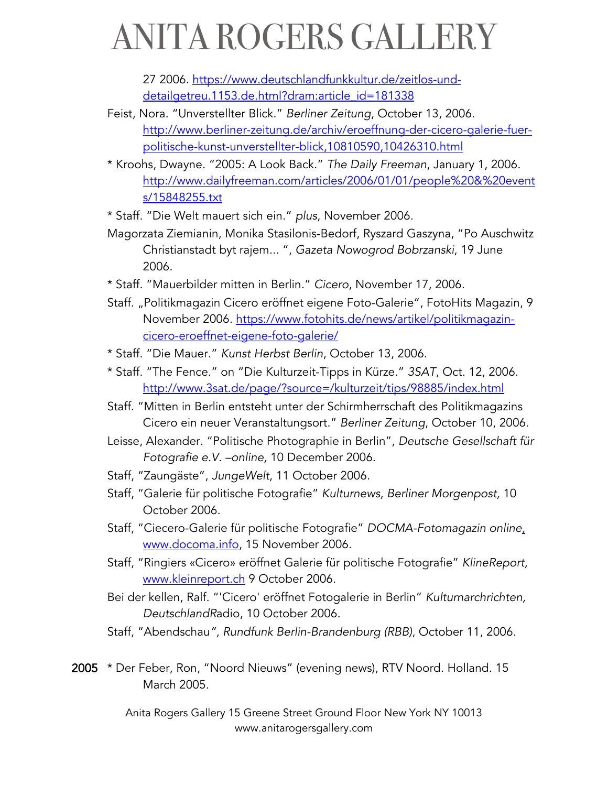27 2006. https://www.deutschlandfunkkultur.de/zeitlos-unddetailgetreu.1153.de.html?dram:article\_id=181338

- Feist, Nora. "Unverstellter Blick." *Berliner Zeitung*, October 13, 2006. http://www.berliner-zeitung.de/archiv/eroeffnung-der-cicero-galerie-fuerpolitische-kunst-unverstellter-blick,10810590,10426310.html
- \* Kroohs, Dwayne. "2005: A Look Back." *The Daily Freeman*, January 1, 2006. http://www.dailyfreeman.com/articles/2006/01/01/people%20&%20event s/15848255.txt
- \* Staff. "Die Welt mauert sich ein." *plus*, November 2006.
- Magorzata Ziemianin, Monika Stasilonis-Bedorf, Ryszard Gaszyna, "Po Auschwitz Christianstadt byt rajem... ", *Gazeta Nowogrod Bobrzanski*, 19 June 2006.
- \* Staff. "Mauerbilder mitten in Berlin." *Cicero*, November 17, 2006.
- Staff. "Politikmagazin Cicero eröffnet eigene Foto-Galerie", FotoHits Magazin, 9 November 2006. https://www.fotohits.de/news/artikel/politikmagazincicero-eroeffnet-eigene-foto-galerie/
- \* Staff. "Die Mauer." *Kunst Herbst Berlin*, October 13, 2006.
- \* Staff. "The Fence." on "Die Kulturzeit-Tipps in Kürze." *3SAT*, Oct. 12, 2006. http://www.3sat.de/page/?source=/kulturzeit/tips/98885/index.html
- Staff. "Mitten in Berlin entsteht unter der Schirmherrschaft des Politikmagazins Cicero ein neuer Veranstaltungsort." *Berliner Zeitung*, October 10, 2006.
- Leisse, Alexander. "Politische Photographie in Berlin", *Deutsche Gesellschaft für Fotografie e.V. –online,* 10 December 2006.
- Staff, "Zaungäste", *JungeWelt*, 11 October 2006.
- Staff, "Galerie für politische Fotografie" *Kulturnews, Berliner Morgenpost,* 10 October 2006.
- Staff, "Ciecero-Galerie für politische Fotografie" *DOCMA-Fotomagazin online*, www.docoma.info, 15 November 2006.
- Staff, "Ringiers «Cicero» eröffnet Galerie für politische Fotografie" *KlineReport,*  www.kleinreport.ch 9 October 2006.
- Bei der kellen, Ralf. "'Cicero' eröffnet Fotogalerie in Berlin" *Kulturnarchrichten, DeutschlandR*adio, 10 October 2006.
- Staff, "Abendschau*"*, *Rundfunk Berlin-Brandenburg (RBB)*, October 11, 2006.
- 2005 \* Der Feber, Ron, "Noord Nieuws" (evening news), RTV Noord. Holland. 15 March 2005.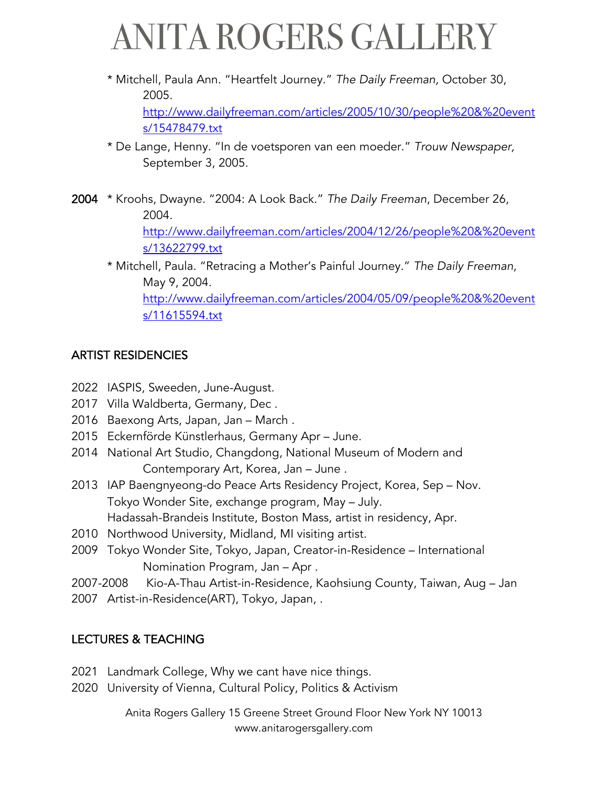- \* Mitchell, Paula Ann. "Heartfelt Journey." *The Daily Freeman,* October 30, 2005. http://www.dailyfreeman.com/articles/2005/10/30/people%20&%20event s/15478479.txt
- \* De Lange, Henny. "In de voetsporen van een moeder." *Trouw Newspaper,* September 3, 2005.
- 2004 \* Kroohs, Dwayne. "2004: A Look Back." *The Daily Freeman*, December 26, 2004.

http://www.dailyfreeman.com/articles/2004/12/26/people%20&%20event s/13622799.txt

\* Mitchell, Paula. "Retracing a Mother's Painful Journey." *The Daily Freeman*, May 9, 2004. http://www.dailyfreeman.com/articles/2004/05/09/people%20&%20event s/11615594.txt

#### ARTIST RESIDENCIES

- 2022 IASPIS, Sweeden, June-August.
- 2017 Villa Waldberta, Germany, Dec .
- 2016 Baexong Arts, Japan, Jan March .
- 2015 Eckernförde Künstlerhaus, Germany Apr June.
- 2014 National Art Studio, Changdong, National Museum of Modern and Contemporary Art, Korea, Jan – June .
- 2013 IAP Baengnyeong-do Peace Arts Residency Project, Korea, Sep Nov. Tokyo Wonder Site, exchange program, May – July. Hadassah-Brandeis Institute, Boston Mass, artist in residency, Apr.
- 2010 Northwood University, Midland, MI visiting artist.
- 2009 Tokyo Wonder Site, Tokyo, Japan, Creator-in-Residence International Nomination Program, Jan – Apr .
- 2007-2008 Kio-A-Thau Artist-in-Residence, Kaohsiung County, Taiwan, Aug Jan
- 2007 Artist-in-Residence(ART), Tokyo, Japan, .

#### LECTURES & TEACHING

- 2021 Landmark College, Why we cant have nice things.
- 2020 University of Vienna, Cultural Policy, Politics & Activism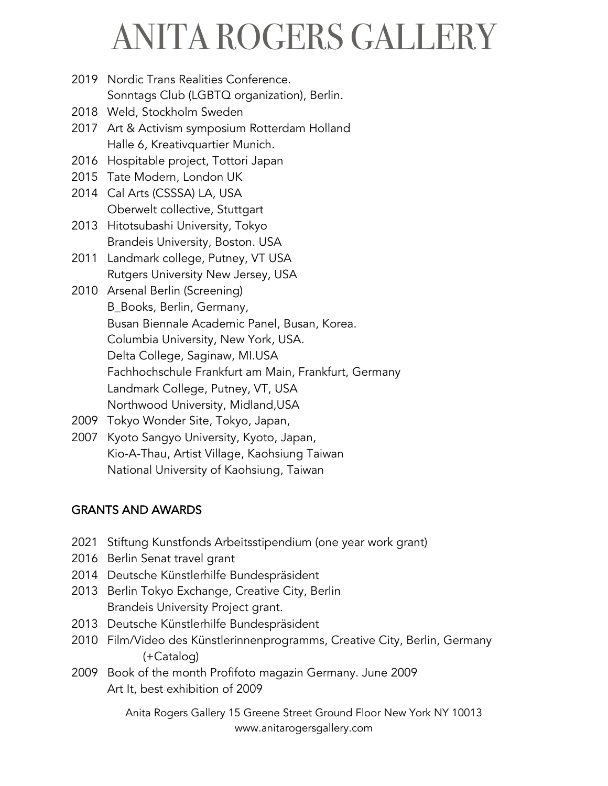2019 Nordic Trans Realities Conference.

Sonntags Club (LGBTQ organization), Berlin.

- 2018 Weld, Stockholm Sweden
- 2017 Art & Activism symposium Rotterdam Holland Halle 6, Kreativquartier Munich.
- 2016 Hospitable project, Tottori Japan
- 2015 Tate Modern, London UK
- 2014 Cal Arts (CSSSA) LA, USA Oberwelt collective, Stuttgart
- 2013 Hitotsubashi University, Tokyo Brandeis University, Boston. USA
- 2011 Landmark college, Putney, VT USA Rutgers University New Jersey, USA
- 2010 Arsenal Berlin (Screening) B\_Books, Berlin, Germany, Busan Biennale Academic Panel, Busan, Korea. Columbia University, New York, USA. Delta College, Saginaw, MI.USA Fachhochschule Frankfurt am Main, Frankfurt, Germany Landmark College, Putney, VT, USA Northwood University, Midland,USA
- 2009 Tokyo Wonder Site, Tokyo, Japan,
- 2007 Kyoto Sangyo University, Kyoto, Japan, Kio-A-Thau, Artist Village, Kaohsiung Taiwan National University of Kaohsiung, Taiwan

#### GRANTS AND AWARDS

- 2021 Stiftung Kunstfonds Arbeitsstipendium (one year work grant)
- 2016 Berlin Senat travel grant
- 2014 Deutsche Künstlerhilfe Bundespräsident
- 2013 Berlin Tokyo Exchange, Creative City, Berlin Brandeis University Project grant.
- 2013 Deutsche Künstlerhilfe Bundespräsident
- 2010 Film/Video des Künstlerinnenprogramms, Creative City, Berlin, Germany (+Catalog)
- 2009 Book of the month Profifoto magazin Germany. June 2009 Art It, best exhibition of 2009